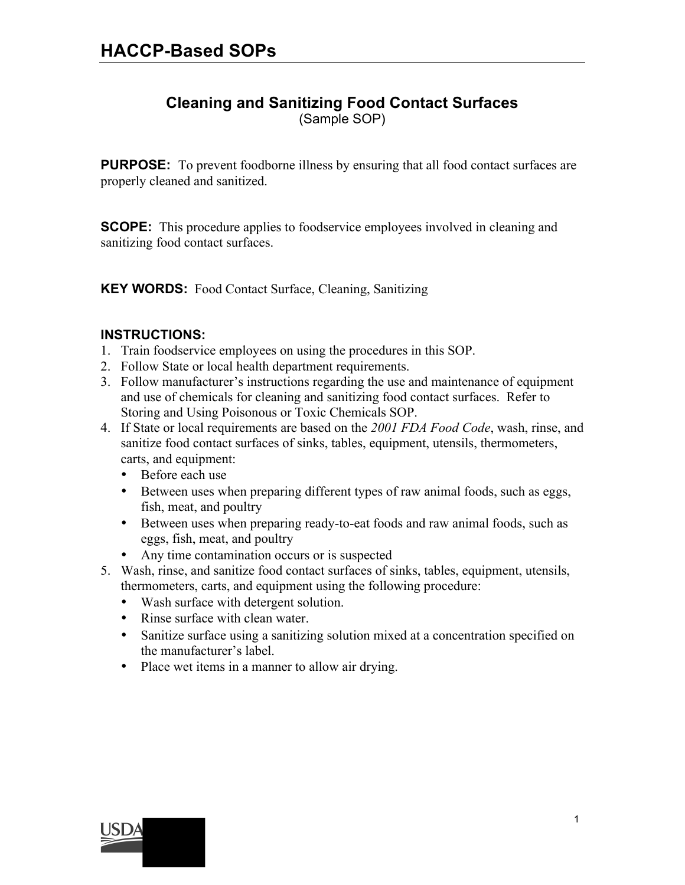### **Cleaning and Sanitizing Food Contact Surfaces**

(Sample SOP)

**PURPOSE:** To prevent foodborne illness by ensuring that all food contact surfaces are properly cleaned and sanitized.

**SCOPE:** This procedure applies to foodservice employees involved in cleaning and sanitizing food contact surfaces.

**KEY WORDS:** Food Contact Surface, Cleaning, Sanitizing

#### **INSTRUCTIONS:**

- 1. Train foodservice employees on using the procedures in this SOP.
- 2. Follow State or local health department requirements.
- 3. Follow manufacturer's instructions regarding the use and maintenance of equipment and use of chemicals for cleaning and sanitizing food contact surfaces. Refer to Storing and Using Poisonous or Toxic Chemicals SOP.
- 4. If State or local requirements are based on the *2001 FDA Food Code*, wash, rinse, and sanitize food contact surfaces of sinks, tables, equipment, utensils, thermometers, carts, and equipment:
	- Before each use
	- Between uses when preparing different types of raw animal foods, such as eggs, fish, meat, and poultry
	- Between uses when preparing ready-to-eat foods and raw animal foods, such as eggs, fish, meat, and poultry
	- Any time contamination occurs or is suspected
- 5. Wash, rinse, and sanitize food contact surfaces of sinks, tables, equipment, utensils, thermometers, carts, and equipment using the following procedure:
	- Wash surface with detergent solution.
	- Rinse surface with clean water.
	- Sanitize surface using a sanitizing solution mixed at a concentration specified on the manufacturer's label.

1

• Place wet items in a manner to allow air drying.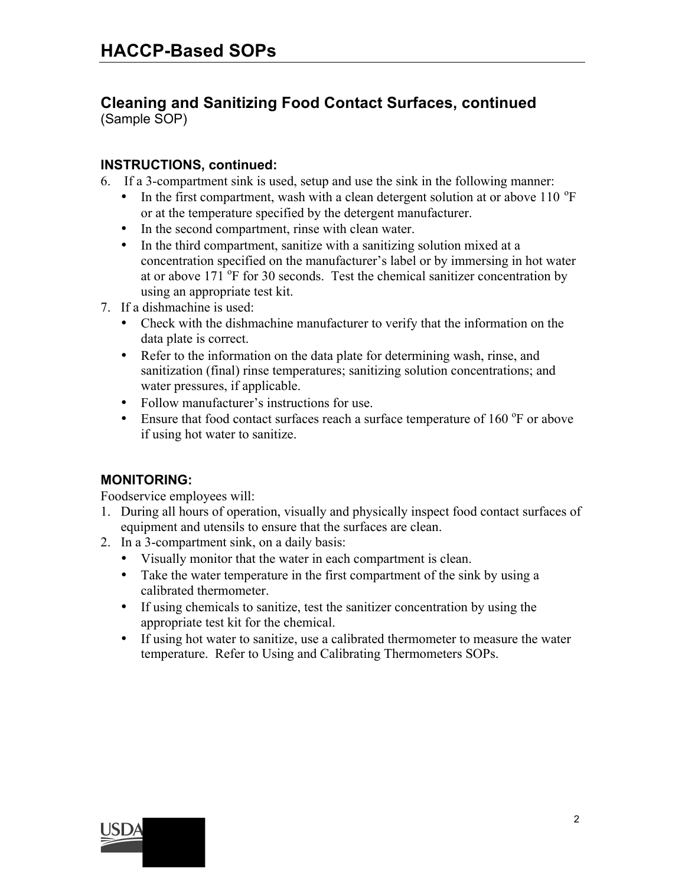## **Cleaning and Sanitizing Food Contact Surfaces, continued**

(Sample SOP)

#### **INSTRUCTIONS, continued:**

6. If a 3-compartment sink is used, setup and use the sink in the following manner:

- In the first compartment, wash with a clean detergent solution at or above 110  $\mathrm{^{\circ}F}$ or at the temperature specified by the detergent manufacturer.
- In the second compartment, rinse with clean water.
- In the third compartment, sanitize with a sanitizing solution mixed at a concentration specified on the manufacturer's label or by immersing in hot water at or above  $171^{\circ}$ F for 30 seconds. Test the chemical sanitizer concentration by using an appropriate test kit.
- 7. If a dishmachine is used:
	- Check with the dishmachine manufacturer to verify that the information on the data plate is correct.
	- Refer to the information on the data plate for determining wash, rinse, and sanitization (final) rinse temperatures; sanitizing solution concentrations; and water pressures, if applicable.
	- Follow manufacturer's instructions for use.
	- Ensure that food contact surfaces reach a surface temperature of  $160^{\circ}$ F or above if using hot water to sanitize.

#### **MONITORING:**

Foodservice employees will:

- 1. During all hours of operation, visually and physically inspect food contact surfaces of equipment and utensils to ensure that the surfaces are clean.
- 2. In a 3-compartment sink, on a daily basis:
	- Visually monitor that the water in each compartment is clean.
	- Take the water temperature in the first compartment of the sink by using a calibrated thermometer.
	- If using chemicals to sanitize, test the sanitizer concentration by using the appropriate test kit for the chemical.
	- If using hot water to sanitize, use a calibrated thermometer to measure the water temperature. Refer to Using and Calibrating Thermometers SOPs.

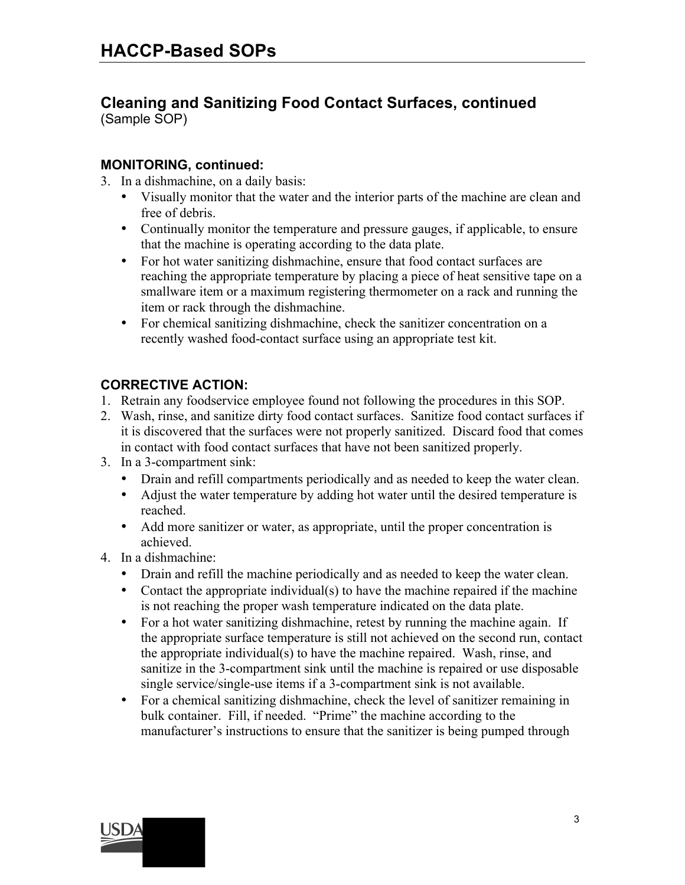# **Cleaning and Sanitizing Food Contact Surfaces, continued**

(Sample SOP)

#### **MONITORING, continued:**

3. In a dishmachine, on a daily basis:

- Visually monitor that the water and the interior parts of the machine are clean and free of debris.
- Continually monitor the temperature and pressure gauges, if applicable, to ensure that the machine is operating according to the data plate.
- For hot water sanitizing dishmachine, ensure that food contact surfaces are reaching the appropriate temperature by placing a piece of heat sensitive tape on a smallware item or a maximum registering thermometer on a rack and running the item or rack through the dishmachine.
- For chemical sanitizing dishmachine, check the sanitizer concentration on a recently washed food-contact surface using an appropriate test kit.

#### **CORRECTIVE ACTION:**

- 1. Retrain any foodservice employee found not following the procedures in this SOP.
- 2. Wash, rinse, and sanitize dirty food contact surfaces. Sanitize food contact surfaces if it is discovered that the surfaces were not properly sanitized. Discard food that comes in contact with food contact surfaces that have not been sanitized properly.
- 3. In a 3-compartment sink:
	- Drain and refill compartments periodically and as needed to keep the water clean.
	- Adjust the water temperature by adding hot water until the desired temperature is reached.
	- Add more sanitizer or water, as appropriate, until the proper concentration is achieved.
- 4. In a dishmachine:
	- Drain and refill the machine periodically and as needed to keep the water clean.
	- Contact the appropriate individual(s) to have the machine repaired if the machine is not reaching the proper wash temperature indicated on the data plate.
	- For a hot water sanitizing dishmachine, retest by running the machine again. If the appropriate surface temperature is still not achieved on the second run, contact the appropriate individual(s) to have the machine repaired. Wash, rinse, and sanitize in the 3-compartment sink until the machine is repaired or use disposable single service/single-use items if a 3-compartment sink is not available.
	- For a chemical sanitizing dishmachine, check the level of sanitizer remaining in bulk container. Fill, if needed. "Prime" the machine according to the manufacturer's instructions to ensure that the sanitizer is being pumped through